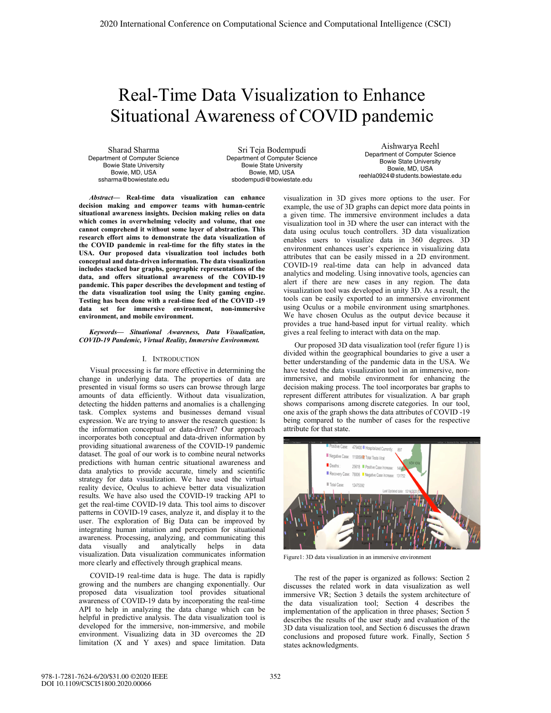# Real-Time Data Visualization to Enhance Situational Awareness of COVID pandemic

Sharad Sharma Department of Computer Science Bowie State University Bowie, MD, USA ssharma@bowiestate.edu

Sri Teja Bodempudi Department of Computer Science Bowie State University Bowie, MD, USA sbodempudi@bowiestate.edu

*Abstract***— Real-time data visualization can enhance decision making and empower teams with human-centric situational awareness insights. Decision making relies on data which comes in overwhelming velocity and volume, that one cannot comprehend it without some layer of abstraction. This research effort aims to demonstrate the data visualization of the COVID pandemic in real-time for the fifty states in the USA. Our proposed data visualization tool includes both conceptual and data-driven information. The data visualization includes stacked bar graphs, geographic representations of the data, and offers situational awareness of the COVID-19 pandemic. This paper describes the development and testing of the data visualization tool using the Unity gaming engine. Testing has been done with a real-time feed of the COVID -19 data set for immersive environment, non-immersive environment, and mobile environment.** 

### *Keywords— Situational Awareness, Data Visualization, COVID-19 Pandemic, Virtual Reality, Immersive Environment.*

# I. INTRODUCTION

Visual processing is far more effective in determining the change in underlying data. The properties of data are presented in visual forms so users can browse through large amounts of data efficiently. Without data visualization, detecting the hidden patterns and anomalies is a challenging task. Complex systems and businesses demand visual expression. We are trying to answer the research question: Is the information conceptual or data-driven? Our approach incorporates both conceptual and data-driven information by providing situational awareness of the COVID-19 pandemic dataset. The goal of our work is to combine neural networks predictions with human centric situational awareness and data analytics to provide accurate, timely and scientific strategy for data visualization. We have used the virtual reality device, Oculus to achieve better data visualization results. We have also used the COVID-19 tracking API to get the real-time COVID-19 data. This tool aims to discover patterns in COVID-19 cases, analyze it, and display it to the user. The exploration of Big Data can be improved by integrating human intuition and perception for situational awareness. Processing, analyzing, and communicating this data visually and analytically helps in data visualization. Data visualization communicates information more clearly and effectively through graphical means.

COVID-19 real-time data is huge. The data is rapidly growing and the numbers are changing exponentially. Our proposed data visualization tool provides situational awareness of COVID-19 data by incorporating the real-time API to help in analyzing the data change which can be helpful in predictive analysis. The data visualization tool is developed for the immersive, non-immersive, and mobile environment. Visualizing data in 3D overcomes the 2D limitation (X and Y axes) and space limitation. Data

Aishwarya Reehl Department of Computer Science Bowie State University Bowie, MD, USA reehla0924@students.bowiestate.edu

visualization in 3D gives more options to the user. For example, the use of 3D graphs can depict more data points in a given time. The immersive environment includes a data visualization tool in 3D where the user can interact with the data using oculus touch controllers. 3D data visualization enables users to visualize data in 360 degrees. 3D environment enhances user's experience in visualizing data attributes that can be easily missed in a 2D environment. COVID-19 real-time data can help in advanced data analytics and modeling. Using innovative tools, agencies can alert if there are new cases in any region. The data visualization tool was developed in unity 3D. As a result, the tools can be easily exported to an immersive environment using Oculus or a mobile environment using smartphones. We have chosen Oculus as the output device because it provides a true hand-based input for virtual reality. which gives a real feeling to interact with data on the map.

Our proposed 3D data visualization tool (refer figure 1) is divided within the geographical boundaries to give a user a better understanding of the pandemic data in the USA. We have tested the data visualization tool in an immersive, nonimmersive, and mobile environment for enhancing the decision making process. The tool incorporates bar graphs to represent different attributes for visualization. A bar graph shows comparisons among discrete categories. In our tool, one axis of the graph shows the data attributes of COVID -19 being compared to the number of cases for the respective attribute for that state.



Figure1: 3D data visualization in an immersive environment

The rest of the paper is organized as follows: Section 2 discusses the related work in data visualization as well immersive VR; Section 3 details the system architecture of the data visualization tool; Section 4 describes the implementation of the application in three phases; Section 5 describes the results of the user study and evaluation of the 3D data visualization tool, and Section 6 discusses the drawn conclusions and proposed future work. Finally, Section 5 states acknowledgments.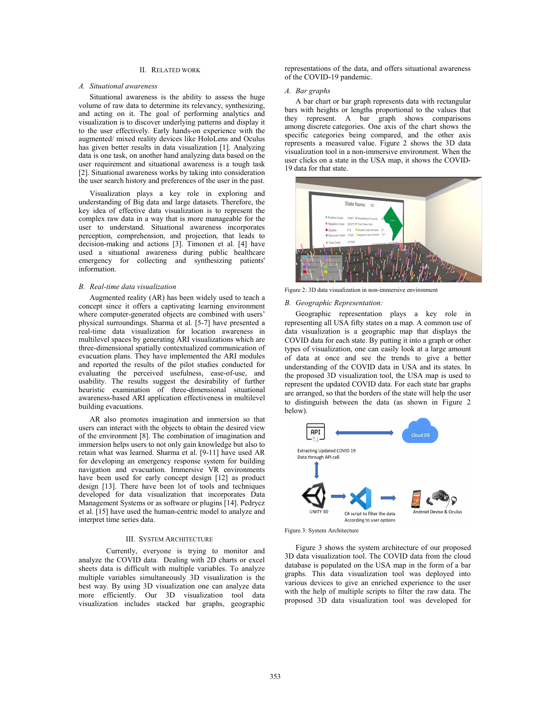# II. RELATED WORK

#### *A. Situational awareness*

Situational awareness is the ability to assess the huge volume of raw data to determine its relevancy, synthesizing, and acting on it. The goal of performing analytics and visualization is to discover underlying patterns and display it to the user effectively. Early hands-on experience with the augmented/ mixed reality devices like HoloLens and Oculus has given better results in data visualization [1]. Analyzing data is one task, on another hand analyzing data based on the user requirement and situational awareness is a tough task [2]. Situational awareness works by taking into consideration the user search history and preferences of the user in the past.

Visualization plays a key role in exploring and understanding of Big data and large datasets. Therefore, the key idea of effective data visualization is to represent the complex raw data in a way that is more manageable for the user to understand. Situational awareness incorporates perception, comprehension, and projection, that leads to decision-making and actions [3]. Timonen et al. [4] have used a situational awareness during public healthcare emergency for collecting and synthesizing patients' information.

# *B. Real-time data visualization*

Augmented reality (AR) has been widely used to teach a concept since it offers a captivating learning environment where computer-generated objects are combined with users' physical surroundings. Sharma et al. [5-7] have presented a real-time data visualization for location awareness in multilevel spaces by generating ARI visualizations which are three-dimensional spatially contextualized communication of evacuation plans. They have implemented the ARI modules and reported the results of the pilot studies conducted for evaluating the perceived usefulness, ease-of-use, and usability. The results suggest the desirability of further heuristic examination of three-dimensional situational awareness-based ARI application effectiveness in multilevel building evacuations.

AR also promotes imagination and immersion so that users can interact with the objects to obtain the desired view of the environment [8]. The combination of imagination and immersion helps users to not only gain knowledge but also to retain what was learned. Sharma et al. [9-11] have used AR for developing an emergency response system for building navigation and evacuation. Immersive VR environments have been used for early concept design [12] as product design [13]. There have been lot of tools and techniques developed for data visualization that incorporates Data Management Systems or as software or plugins [14]. Pedrycz et al. [15] have used the human-centric model to analyze and interpret time series data.

#### III. SYSTEM ARCHITECTURE

Currently, everyone is trying to monitor and analyze the COVID data. Dealing with 2D charts or excel sheets data is difficult with multiple variables. To analyze multiple variables simultaneously 3D visualization is the best way. By using 3D visualization one can analyze data more efficiently. Our 3D visualization tool data visualization includes stacked bar graphs, geographic

representations of the data, and offers situational awareness of the COVID-19 pandemic.

# *A. Bar graphs*

A bar chart or bar graph represents data with rectangular bars with heights or lengths proportional to the values that they represent. A bar graph shows comparisons among discrete categories. One axis of the chart shows the specific categories being compared, and the other axis represents a measured value. Figure 2 shows the 3D data visualization tool in a non-immersive environment. When the user clicks on a state in the USA map, it shows the COVID-19 data for that state.



Figure 2: 3D data visualization in non-immersive environment

# *B. Geographic Representation:*

Geographic representation plays a key role in representing all USA fifty states on a map. A common use of data visualization is a geographic map that displays the COVID data for each state. By putting it into a graph or other types of visualization, one can easily look at a large amount of data at once and see the trends to give a better understanding of the COVID data in USA and its states. In the proposed 3D visualization tool, the USA map is used to represent the updated COVID data. For each state bar graphs are arranged, so that the borders of the state will help the user to distinguish between the data (as shown in Figure 2 below).



Figure 3: System Architecture

Figure 3 shows the system architecture of our proposed 3D data visualization tool. The COVID data from the cloud database is populated on the USA map in the form of a bar graphs. This data visualization tool was deployed into various devices to give an enriched experience to the user with the help of multiple scripts to filter the raw data. The proposed 3D data visualization tool was developed for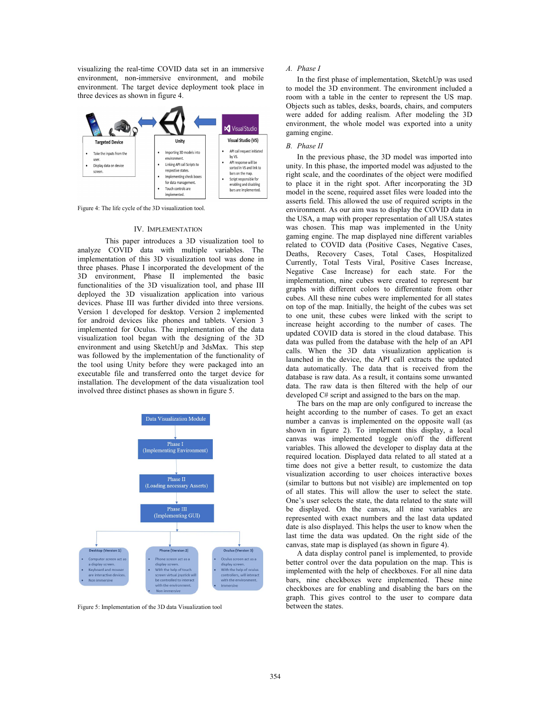visualizing the real-time COVID data set in an immersive environment, non-immersive environment, and mobile environment. The target device deployment took place in three devices as shown in figure 4.



Figure 4: The life cycle of the 3D visualization tool.

#### IV. IMPLEMENTATION

This paper introduces a 3D visualization tool to analyze COVID data with multiple variables. The implementation of this 3D visualization tool was done in three phases. Phase I incorporated the development of the 3D environment, Phase II implemented the basic functionalities of the 3D visualization tool, and phase III deployed the 3D visualization application into various devices. Phase III was further divided into three versions. Version 1 developed for desktop. Version 2 implemented for android devices like phones and tablets. Version 3 implemented for Oculus. The implementation of the data visualization tool began with the designing of the 3D environment and using SketchUp and 3dsMax. This step was followed by the implementation of the functionality of the tool using Unity before they were packaged into an executable file and transferred onto the target device for installation. The development of the data visualization tool involved three distinct phases as shown in figure 5.



Figure 5: Implementation of the 3D data Visualization tool

# *A. Phase I*

In the first phase of implementation, SketchUp was used to model the 3D environment. The environment included a room with a table in the center to represent the US map. Objects such as tables, desks, boards, chairs, and computers were added for adding realism. After modeling the 3D environment, the whole model was exported into a unity gaming engine.

# *B. Phase II*

In the previous phase, the 3D model was imported into unity. In this phase, the imported model was adjusted to the right scale, and the coordinates of the object were modified to place it in the right spot. After incorporating the 3D model in the scene, required asset files were loaded into the asserts field. This allowed the use of required scripts in the environment. As our aim was to display the COVID data in the USA, a map with proper representation of all USA states was chosen. This map was implemented in the Unity gaming engine. The map displayed nine different variables related to COVID data (Positive Cases, Negative Cases, Deaths, Recovery Cases, Total Cases, Hospitalized Currently, Total Tests Viral, Positive Cases Increase, Negative Case Increase) for each state. For the implementation, nine cubes were created to represent bar graphs with different colors to differentiate from other cubes. All these nine cubes were implemented for all states on top of the map. Initially, the height of the cubes was set to one unit, these cubes were linked with the script to increase height according to the number of cases. The updated COVID data is stored in the cloud database. This data was pulled from the database with the help of an API calls. When the 3D data visualization application is launched in the device, the API call extracts the updated data automatically. The data that is received from the database is raw data. As a result, it contains some unwanted data. The raw data is then filtered with the help of our developed C# script and assigned to the bars on the map.

The bars on the map are only configured to increase the height according to the number of cases. To get an exact number a canvas is implemented on the opposite wall (as shown in figure 2). To implement this display, a local canvas was implemented toggle on/off the different variables. This allowed the developer to display data at the required location. Displayed data related to all stated at a time does not give a better result, to customize the data visualization according to user choices interactive boxes (similar to buttons but not visible) are implemented on top of all states. This will allow the user to select the state. One's user selects the state, the data related to the state will be displayed. On the canvas, all nine variables are represented with exact numbers and the last data updated date is also displayed. This helps the user to know when the last time the data was updated. On the right side of the canvas, state map is displayed (as shown in figure 4).

A data display control panel is implemented, to provide better control over the data population on the map. This is implemented with the help of checkboxes. For all nine data bars, nine checkboxes were implemented. These nine checkboxes are for enabling and disabling the bars on the graph. This gives control to the user to compare data between the states.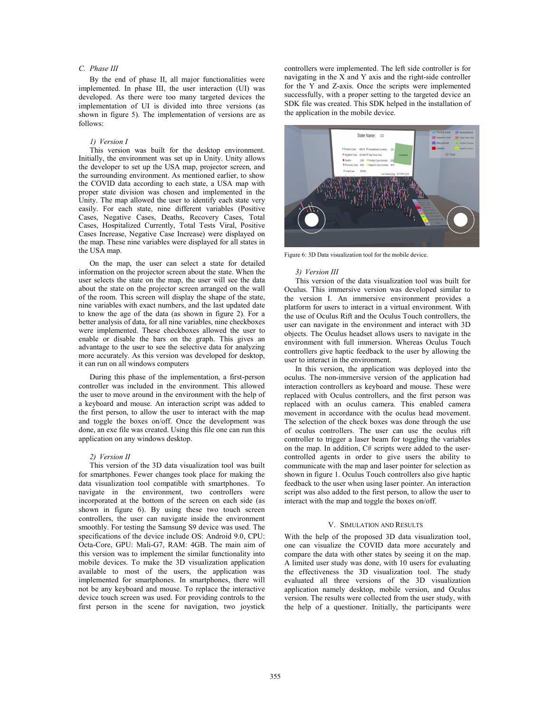# *C. Phase III*

By the end of phase II, all major functionalities were implemented. In phase III, the user interaction (UI) was developed. As there were too many targeted devices the implementation of UI is divided into three versions (as shown in figure 5). The implementation of versions are as follows:

#### *1) Version I*

This version was built for the desktop environment. Initially, the environment was set up in Unity. Unity allows the developer to set up the USA map, projector screen, and the surrounding environment. As mentioned earlier, to show the COVID data according to each state, a USA map with proper state division was chosen and implemented in the Unity. The map allowed the user to identify each state very easily. For each state, nine different variables (Positive Cases, Negative Cases, Deaths, Recovery Cases, Total Cases, Hospitalized Currently, Total Tests Viral, Positive Cases Increase, Negative Case Increase) were displayed on the map. These nine variables were displayed for all states in the USA map.

On the map, the user can select a state for detailed information on the projector screen about the state. When the user selects the state on the map, the user will see the data about the state on the projector screen arranged on the wall of the room. This screen will display the shape of the state, nine variables with exact numbers, and the last updated date to know the age of the data (as shown in figure 2). For a better analysis of data, for all nine variables, nine checkboxes were implemented. These checkboxes allowed the user to enable or disable the bars on the graph. This gives an advantage to the user to see the selective data for analyzing more accurately. As this version was developed for desktop, it can run on all windows computers

During this phase of the implementation, a first-person controller was included in the environment. This allowed the user to move around in the environment with the help of a keyboard and mouse. An interaction script was added to the first person, to allow the user to interact with the map and toggle the boxes on/off. Once the development was done, an exe file was created. Using this file one can run this application on any windows desktop.

# *2) Version II*

This version of the 3D data visualization tool was built for smartphones. Fewer changes took place for making the data visualization tool compatible with smartphones. To navigate in the environment, two controllers were incorporated at the bottom of the screen on each side (as shown in figure 6). By using these two touch screen controllers, the user can navigate inside the environment smoothly. For testing the Samsung S9 device was used. The specifications of the device include OS: Android 9.0, CPU: Octa-Core, GPU: Mali-G7, RAM: 4GB. The main aim of this version was to implement the similar functionality into mobile devices. To make the 3D visualization application available to most of the users, the application was implemented for smartphones. In smartphones, there will not be any keyboard and mouse. To replace the interactive device touch screen was used. For providing controls to the first person in the scene for navigation, two joystick

controllers were implemented. The left side controller is for navigating in the X and Y axis and the right-side controller for the Y and Z-axis. Once the scripts were implemented successfully, with a proper setting to the targeted device an SDK file was created. This SDK helped in the installation of the application in the mobile device.



Figure 6: 3D Data visualization tool for the mobile device.

#### *3) Version III*

This version of the data visualization tool was built for Oculus. This immersive version was developed similar to the version I. An immersive environment provides a platform for users to interact in a virtual environment. With the use of Oculus Rift and the Oculus Touch controllers, the user can navigate in the environment and interact with 3D objects. The Oculus headset allows users to navigate in the environment with full immersion. Whereas Oculus Touch controllers give haptic feedback to the user by allowing the user to interact in the environment.

In this version, the application was deployed into the oculus. The non-immersive version of the application had interaction controllers as keyboard and mouse. These were replaced with Oculus controllers, and the first person was replaced with an oculus camera. This enabled camera movement in accordance with the oculus head movement. The selection of the check boxes was done through the use of oculus controllers. The user can use the oculus rift controller to trigger a laser beam for toggling the variables on the map. In addition, C# scripts were added to the usercontrolled agents in order to give users the ability to communicate with the map and laser pointer for selection as shown in figure 1. Oculus Touch controllers also give haptic feedback to the user when using laser pointer. An interaction script was also added to the first person, to allow the user to interact with the map and toggle the boxes on/off.

# V. SIMULATION AND RESULTS

With the help of the proposed 3D data visualization tool, one can visualize the COVID data more accurately and compare the data with other states by seeing it on the map. A limited user study was done, with 10 users for evaluating the effectiveness the 3D visualization tool. The study evaluated all three versions of the 3D visualization application namely desktop, mobile version, and Oculus version. The results were collected from the user study, with the help of a questioner. Initially, the participants were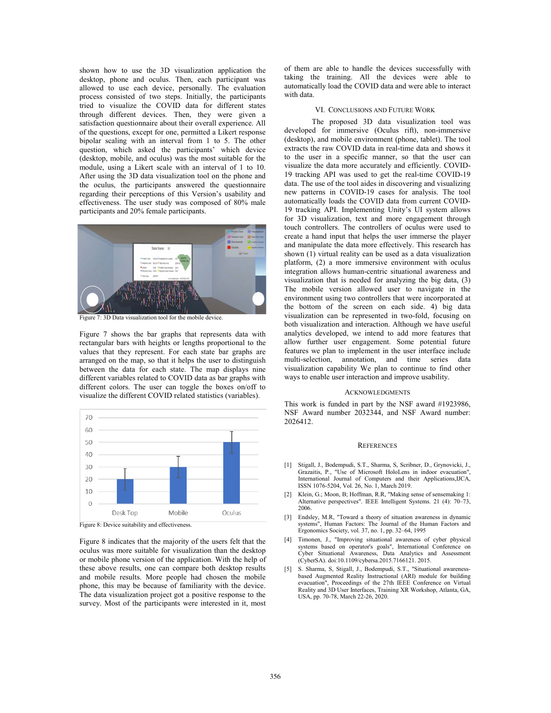shown how to use the 3D visualization application the desktop, phone and oculus. Then, each participant was allowed to use each device, personally. The evaluation process consisted of two steps. Initially, the participants tried to visualize the COVID data for different states through different devices. Then, they were given a satisfaction questionnaire about their overall experience. All of the questions, except for one, permitted a Likert response bipolar scaling with an interval from 1 to 5. The other question, which asked the participants' which device (desktop, mobile, and oculus) was the most suitable for the module, using a Likert scale with an interval of 1 to 10. After using the 3D data visualization tool on the phone and the oculus, the participants answered the questionnaire regarding their perceptions of this Version's usability and effectiveness. The user study was composed of 80% male participants and 20% female participants.



Figure 7: 3D Data visualization tool for the mobile device.

Figure 7 shows the bar graphs that represents data with rectangular bars with heights or lengths proportional to the values that they represent. For each state bar graphs are arranged on the map, so that it helps the user to distinguish between the data for each state. The map displays nine different variables related to COVID data as bar graphs with different colors. The user can toggle the boxes on/off to visualize the different COVID related statistics (variables).



Figure 8: Device suitability and effectiveness.

Figure 8 indicates that the majority of the users felt that the oculus was more suitable for visualization than the desktop or mobile phone version of the application. With the help of these above results, one can compare both desktop results and mobile results. More people had chosen the mobile phone, this may be because of familiarity with the device. The data visualization project got a positive response to the survey. Most of the participants were interested in it, most

of them are able to handle the devices successfully with taking the training. All the devices were able to automatically load the COVID data and were able to interact with data.

# VI. CONCLUSIONS AND FUTURE WORK

The proposed 3D data visualization tool was developed for immersive (Oculus rift), non-immersive (desktop), and mobile environment (phone, tablet). The tool extracts the raw COVID data in real-time data and shows it to the user in a specific manner, so that the user can visualize the data more accurately and efficiently. COVID-19 tracking API was used to get the real-time COVID-19 data. The use of the tool aides in discovering and visualizing new patterns in COVID-19 cases for analysis. The tool automatically loads the COVID data from current COVID-19 tracking API. Implementing Unity's UI system allows for 3D visualization, text and more engagement through touch controllers. The controllers of oculus were used to create a hand input that helps the user immerse the player and manipulate the data more effectively. This research has shown (1) virtual reality can be used as a data visualization platform, (2) a more immersive environment with oculus integration allows human-centric situational awareness and visualization that is needed for analyzing the big data, (3) The mobile version allowed user to navigate in the environment using two controllers that were incorporated at the bottom of the screen on each side. 4) big data visualization can be represented in two-fold, focusing on both visualization and interaction. Although we have useful analytics developed, we intend to add more features that allow further user engagement. Some potential future features we plan to implement in the user interface include multi-selection, annotation, and time series data visualization capability We plan to continue to find other ways to enable user interaction and improve usability.

# ACKNOWLEDGMENTS

This work is funded in part by the NSF award #1923986, NSF Award number 2032344, and NSF Award number: 2026412.

# **REFERENCES**

- [1] Stigall, J., Bodempudi, S.T., Sharma, S, Scribner, D., Grynovicki, J., Grazaitis, P., "Use of Microsoft HoloLens in indoor evacuation", International Journal of Computers and their Applications,IJCA, ISSN 1076-5204, Vol. 26, No. 1, March 2019.
- [2] Klein, G.; Moon, B; Hoffman, R.R, "Making sense of sensemaking 1: Alternative perspectives". IEEE Intelligent Systems. 21 (4): 70–73, 2006.
- [3] Endsley, M.R, "Toward a theory of situation awareness in dynamic systems", Human Factors: The Journal of the Human Factors and Ergonomics Society, vol. 37, no. 1, pp. 32–64, 1995
- [4] Timonen, J., "Improving situational awareness of cyber physical systems based on operator's goals", International Conference on Cyber Situational Awareness, Data Analytics and Assessment (CyberSA). doi:10.1109/cybersa.2015.7166121. 2015.
- [5] S. Sharma, S, Stigall, J., Bodempudi, S.T., "Situational awarenessbased Augmented Reality Instructional (ARI) module for building evacuation", Proceedings of the 27th IEEE Conference on Virtual Reality and 3D User Interfaces, Training XR Workshop, Atlanta, GA, USA, pp. 70-78, March 22-26, 2020.